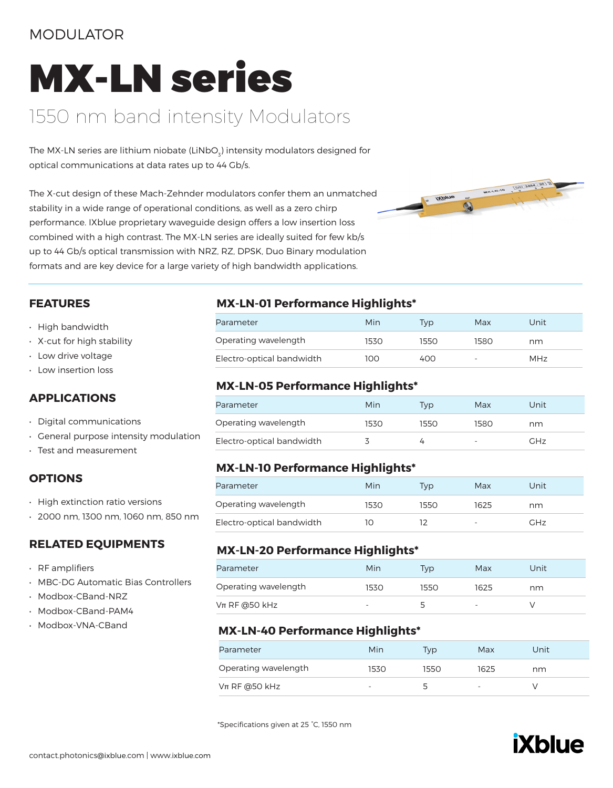### MODULATOR

# MX-LN series

### 1550 nm band intensity Modulators

The MX-LN series are lithium niobate (LiNbO $_{\tiny 3}$ ) intensity modulators designed for optical communications at data rates up to 44 Gb/s.

The X-cut design of these Mach-Zehnder modulators confer them an unmatched stability in a wide range of operational conditions, as well as a zero chirp performance. IXblue proprietary waveguide design offers a low insertion loss combined with a high contrast. The MX-LN series are ideally suited for few kb/s up to 44 Gb/s optical transmission with NRZ, RZ, DPSK, Duo Binary modulation formats and are key device for a large variety of high bandwidth applications.



#### **FEATURES**

- High bandwidth
- X-cut for high stability
- Low drive voltage
- Low insertion loss

### **APPLICATIONS**

- Digital communications
- General purpose intensity modulation
- Test and measurement

### **OPTIONS**

- High extinction ratio versions
- 2000 nm, 1300 nm, 1060 nm, 850 nm

### **RELATED EQUIPMENTS**

- RF amplifiers
- MBC-DG Automatic Bias Controllers
- Modbox-CBand-NRZ
- Modbox-CBand-PAM4
- Modbox-VNA-CBand

### **MX-LN-01 Performance Highlights\***

| Parameter                 | Min   | Tvp  | Max  | Unit |
|---------------------------|-------|------|------|------|
| Operating wavelength      | 1530. | 1550 | 1580 | nm   |
| Electro-optical bandwidth | 100   | 400  | -    | MHz  |

### **MX-LN-05 Performance Highlights\***

| Parameter                 | Min  | Tvp  | Max  | Unit |
|---------------------------|------|------|------|------|
| Operating wavelength      | 1530 | 1550 | 1580 | nm   |
| Electro-optical bandwidth |      |      | -    | GHz  |

### **MX-LN-10 Performance Highlights\***

| Parameter                 | Min  | Tvp  | Max                      | Unit |
|---------------------------|------|------|--------------------------|------|
| Operating wavelength      | 1530 | 1550 | 1625                     | nm   |
| Electro-optical bandwidth |      |      | $\overline{\phantom{0}}$ | GHz  |

#### **MX-LN-20 Performance Highlights\***

| Parameter            | Min                      | Tvp                      | Max                      | Unit |
|----------------------|--------------------------|--------------------------|--------------------------|------|
| Operating wavelength | 1530                     | 1550                     | 1625                     | nm   |
| $V$ π RF @50 kHz     | $\overline{\phantom{0}}$ | $\overline{\phantom{a}}$ | $\overline{\phantom{a}}$ |      |

### **MX-LN-40 Performance Highlights\***

| Parameter            | Min                      | Tvp  | Max                      | Unit |
|----------------------|--------------------------|------|--------------------------|------|
| Operating wavelength | 1530                     | 1550 | 1625                     | nm   |
| $Vπ$ RF @50 kHz      | $\overline{\phantom{a}}$ | ∽    | $\overline{\phantom{a}}$ |      |

\*Specifications given at 25 °C, 1550 nm

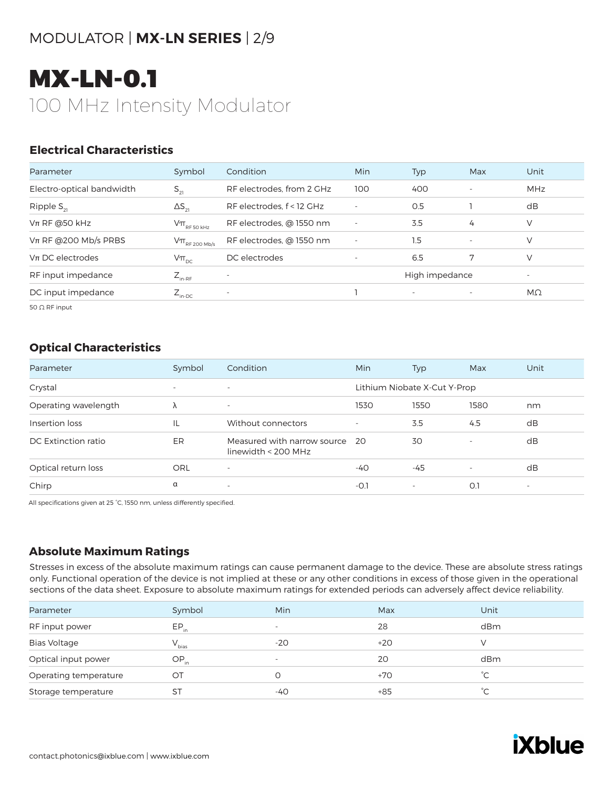### MODULATOR | **MX-LN SERIES** | 2/9

# MX-LN-0.1 100 MHz Intensity Modulator

### **Electrical Characteristics**

| Parameter                 | Symbol                                                          | Condition                 | <b>Min</b>                                 | Typ | Max                      | Unit       |
|---------------------------|-----------------------------------------------------------------|---------------------------|--------------------------------------------|-----|--------------------------|------------|
| Electro-optical bandwidth | $S_{21}$                                                        | RF electrodes, from 2 GHz | 100                                        | 400 | $\overline{\phantom{a}}$ | <b>MHz</b> |
| Ripple $S_{21}$           | $\Delta S_{21}$                                                 | RF electrodes, f < 12 GHz | $\overline{\phantom{a}}$                   | O.5 |                          | dB         |
| $Vπ$ RF @50 kHz           | $\mathsf{V}\pi_{\scriptscriptstyle\mathrm{RF}}$ 50 kHz          | RF electrodes, @ 1550 nm  | $\overline{\phantom{a}}$                   | 3.5 | 4                        | V          |
| $Vπ$ RF @200 Mb/s PRBS    | $\mathsf{V}\pi_{\scriptscriptstyle\mathrm{RF}200\ \text{Mb/s}}$ | RF electrodes, @ 1550 nm  | $\overline{\phantom{a}}$                   | 1.5 | $\overline{\phantom{a}}$ | V          |
| $Vπ$ DC electrodes        | $V\pi_{\text{pc}}$                                              | DC electrodes             |                                            | 6.5 | 7                        | V          |
| RF input impedance        | $Z_{_{\text{in-RF}}}$                                           | $\overline{\phantom{0}}$  | High impedance<br>$\overline{\phantom{a}}$ |     |                          |            |
| DC input impedance        | $Z_{\text{in-DC}}$                                              | $\overline{\phantom{a}}$  |                                            |     | $\overline{\phantom{a}}$ | $M\Omega$  |

50 Ω RF input

### **Optical Characteristics**

| Parameter            | Symbol                   | Condition                                            | Min                      | Typ                          | Max                      | Unit                     |
|----------------------|--------------------------|------------------------------------------------------|--------------------------|------------------------------|--------------------------|--------------------------|
| Crystal              | $\overline{\phantom{0}}$ | $\overline{\phantom{a}}$                             |                          | Lithium Niobate X-Cut Y-Prop |                          |                          |
| Operating wavelength | Λ                        | $\overline{\phantom{0}}$                             | 1530                     | 1550                         | 1580                     | nm                       |
| Insertion loss       | IL                       | Without connectors                                   | $\overline{\phantom{a}}$ | 3.5                          | 4.5                      | dB                       |
| DC Extinction ratio  | ER                       | Measured with narrow source<br>linewidth $<$ 200 MHz | - 20                     | 30                           | $\overline{\phantom{a}}$ | dB                       |
| Optical return loss  | ORL                      | $\overline{\phantom{m}}$                             | $-40$                    | $-45$                        |                          | dB                       |
| Chirp                | α                        | $\overline{\phantom{a}}$                             | $-0.7$                   | $\overline{\phantom{0}}$     | O.1                      | $\overline{\phantom{a}}$ |

All specifications given at 25 °C, 1550 nm, unless differently specified.

### **Absolute Maximum Ratings**

| Parameter             | Symbol     | Min                      | Max   | Unit |
|-----------------------|------------|--------------------------|-------|------|
| RF input power        | $EP_{in}$  | $\overline{\phantom{a}}$ | 28    | dBm  |
| <b>Bias Voltage</b>   | $V_{bias}$ | $-20$                    | $+20$ |      |
| Optical input power   | $OP_{in}$  | $\overline{\phantom{a}}$ | 20    | dBm  |
| Operating temperature | ОT         |                          | $+70$ | °C.  |
| Storage temperature   | ST         | -40                      | $+85$ | °⊂   |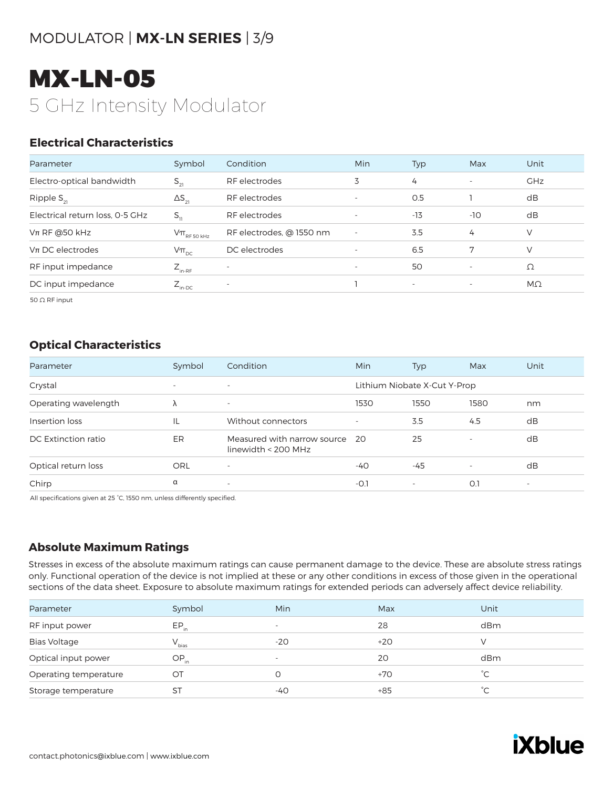### MODULATOR | **MX-LN SERIES** | 3/9

# MX-LN-05 5 GHz Intensity Modulator

### **Electrical Characteristics**

| Parameter                       | Symbol                                                                              | Condition                | Min                      | Typ                      | Max                      | Unit       |
|---------------------------------|-------------------------------------------------------------------------------------|--------------------------|--------------------------|--------------------------|--------------------------|------------|
| Electro-optical bandwidth       | $S_{21}$                                                                            | RF electrodes            | 3                        | 4                        | $\overline{\phantom{a}}$ | <b>GHz</b> |
| Ripple $S_{21}$                 | $\Delta S_{21}$                                                                     | RF electrodes            | $\overline{\phantom{a}}$ | O.5                      |                          | dB         |
| Electrical return loss, 0-5 GHz | $S_{11}$                                                                            | RF electrodes            |                          | $-13$                    | $-10$                    | dB         |
| $Vπ$ RF @50 kHz                 | $\mathsf{V}\pi_{\scriptscriptstyle\mathrm{RF}\,50\,\scriptscriptstyle\mathrm{kHz}}$ | RF electrodes, @ 1550 nm | $\overline{\phantom{a}}$ | 3.5                      | 4                        | $\vee$     |
| $Vπ$ DC electrodes              | $V\pi_{\text{pc}}$                                                                  | DC electrodes            | $\overline{\phantom{a}}$ | 6.5                      | 7                        | V          |
| RF input impedance              | $Z_{_{\text{in-RF}}}$                                                               | $\overline{\phantom{a}}$ | $\overline{\phantom{a}}$ | 50                       | $\overline{\phantom{a}}$ | Ω          |
| DC input impedance              | $Z_{\text{in-DC}}$                                                                  |                          |                          | $\overline{\phantom{0}}$ | $\overline{\phantom{a}}$ | $M\Omega$  |

50 Ω RF input

#### **Optical Characteristics**

| Parameter            | Symbol                   | Condition                                            | <b>Min</b>                   | Typ                      | Max                      | Unit                     |
|----------------------|--------------------------|------------------------------------------------------|------------------------------|--------------------------|--------------------------|--------------------------|
| Crystal              | $\overline{\phantom{0}}$ | $\overline{\phantom{a}}$                             | Lithium Niobate X-Cut Y-Prop |                          |                          |                          |
| Operating wavelength | Λ                        | $\overline{\phantom{a}}$                             | 1530                         | 1550                     | 1580                     | nm                       |
| Insertion loss       | IL                       | Without connectors                                   | $\overline{\phantom{a}}$     | 3.5                      | 4.5                      | dB                       |
| DC Extinction ratio  | ER                       | Measured with narrow source<br>linewidth $<$ 200 MHz | - 20                         | 25                       | $\overline{\phantom{a}}$ | dB                       |
| Optical return loss  | ORL                      |                                                      | $-40$                        | $-45$                    |                          | dB                       |
| Chirp                | $\alpha$                 | $\sim$                                               | $-O.1$                       | $\overline{\phantom{a}}$ | O.1                      | $\overline{\phantom{a}}$ |

All specifications given at 25 °C, 1550 nm, unless differently specified.

#### **Absolute Maximum Ratings**

| Parameter             | Symbol     | Min                      | Max   | Unit         |
|-----------------------|------------|--------------------------|-------|--------------|
| RF input power        | $EP_{in}$  | $\overline{\phantom{0}}$ | 28    | dBm          |
| <b>Bias Voltage</b>   | $V_{bias}$ | $-20$                    | $+20$ |              |
| Optical input power   | $OP_{in}$  | $\overline{\phantom{a}}$ | 20    | dBm          |
| Operating temperature | OТ         |                          | $+70$ | °C.          |
| Storage temperature   | <b>ST</b>  | -40                      | $+85$ | $^{\circ}$ C |
|                       |            |                          |       |              |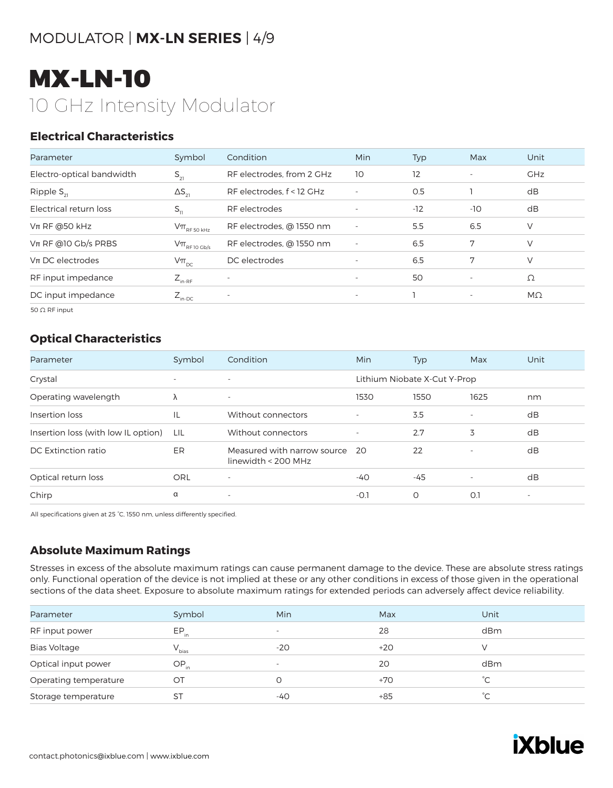### MODULATOR | **MX-LN SERIES** | 4/9

# MX-LN-10 10 GHz Intensity Modulator

### **Electrical Characteristics**

| Parameter                 | Symbol                                                                                  | Condition                 | Min                      | Typ   | Max                      | Unit       |
|---------------------------|-----------------------------------------------------------------------------------------|---------------------------|--------------------------|-------|--------------------------|------------|
| Electro-optical bandwidth | $S_{21}$                                                                                | RF electrodes, from 2 GHz | 10                       | 12    | $\overline{\phantom{a}}$ | <b>GHz</b> |
| Ripple $S_{21}$           | $\Delta S_{21}$                                                                         | RF electrodes, f < 12 GHz | ٠                        | O.5   |                          | dB         |
| Electrical return loss    | $S_{11}$                                                                                | RF electrodes             | $\overline{\phantom{a}}$ | $-12$ | -10                      | dB         |
| $Vπ$ RF @50 kHz           | $\mathsf{V}\pi_{\scriptscriptstyle\mathrm{RF}\,50\,\scriptscriptstyle\mathrm{kHz}}$     | RF electrodes, @ 1550 nm  | $\overline{\phantom{a}}$ | 5.5   | 6.5                      | V          |
| $V\pi$ RF @10 Gb/s PRBS   | $\mathsf{V}\pi_{\scriptscriptstyle\mathrm{RF}\, \scriptscriptstyle 10\, \mathrm{Gb/s}}$ | RF electrodes, @ 1550 nm  | ٠                        | 6.5   | 7                        | V          |
| $Vπ$ DC electrodes        | $V\pi_{\text{pc}}$                                                                      | DC electrodes             | $\overline{\phantom{a}}$ | 6.5   | 7                        | V          |
| RF input impedance        | $Z_{_{\text{in-RF}}}$                                                                   |                           | $\overline{\phantom{a}}$ | 50    | $\overline{\phantom{a}}$ | Ω          |
| DC input impedance        | $Z_{\text{in-DC}}$                                                                      | $\qquad \qquad -$         | $\overline{\phantom{a}}$ |       | $\overline{\phantom{a}}$ | MΩ         |

50 Ω RF input

### **Optical Characteristics**

| Parameter                           | Symbol                   | Condition                                            | <b>Min</b>               | Typ                          | Max                      | Unit |
|-------------------------------------|--------------------------|------------------------------------------------------|--------------------------|------------------------------|--------------------------|------|
| Crystal                             | $\overline{\phantom{0}}$ | $\overline{\phantom{a}}$                             |                          | Lithium Niobate X-Cut Y-Prop |                          |      |
| Operating wavelength                | Λ                        | $\overline{\phantom{a}}$                             | 1530                     | 1550                         | 1625                     | nm   |
| Insertion loss                      | IL                       | Without connectors                                   | $\overline{\phantom{a}}$ | 3.5                          | $\overline{\phantom{a}}$ | dB   |
| Insertion loss (with low IL option) | LIL                      | Without connectors                                   | $\overline{\phantom{a}}$ | 2.7                          | 3                        | dB   |
| DC Extinction ratio                 | ER                       | Measured with narrow source<br>linewidth < $200$ MHz | -20                      | 22                           | $\overline{\phantom{a}}$ | dB   |
| Optical return loss                 | ORL                      | $\overline{\phantom{a}}$                             | $-40$                    | $-45$                        |                          | dB   |
| Chirp                               | α                        | $\overline{\phantom{0}}$                             | -0.1                     | O                            | O.1                      | ۰    |

All specifications given at 25 °C, 1550 nm, unless differently specified.

### **Absolute Maximum Ratings**

| Parameter             | Symbol     | Min                      | Max   | Unit        |
|-----------------------|------------|--------------------------|-------|-------------|
| RF input power        | $EP_{in}$  | $\overline{\phantom{0}}$ | 28    | dBm         |
| <b>Bias Voltage</b>   | $V_{bias}$ | -20                      | $+20$ |             |
| Optical input power   | $OP_{in}$  | $\overline{\phantom{0}}$ | 20    | dBm         |
| Operating temperature | OT         |                          | $+70$ | $^{\circ}C$ |
| Storage temperature   | ST         | -40                      | $+85$ | °С          |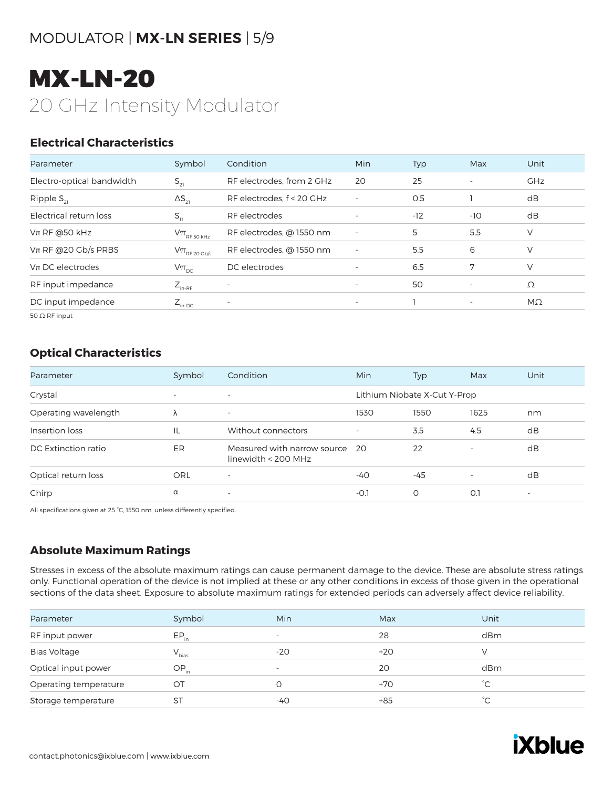### MODULATOR | **MX-LN SERIES** | 5/9

# MX-LN-20 20 GHz Intensity Modulator

### **Electrical Characteristics**

| Parameter                 | Symbol                                                                              | Condition                 | <b>Min</b>               | Typ   | Max                      | Unit       |
|---------------------------|-------------------------------------------------------------------------------------|---------------------------|--------------------------|-------|--------------------------|------------|
| Electro-optical bandwidth | $S_{21}$                                                                            | RF electrodes, from 2 GHz | 20                       | 25    | $\overline{\phantom{a}}$ | <b>GHz</b> |
| Ripple $S_{21}$           | $\Delta S_{21}$                                                                     | RF electrodes, f < 20 GHz | $\overline{\phantom{a}}$ | 0.5   |                          | dB         |
| Electrical return loss    | $S_{11}$                                                                            | RF electrodes             |                          | $-12$ | $-10$                    | dB         |
| $Vπ$ RF @50 kHz           | $\mathsf{V}\pi_{\scriptscriptstyle\mathrm{RF}\,50\,\scriptscriptstyle\mathrm{kHz}}$ | RF electrodes, @ 1550 nm  | $\overline{\phantom{a}}$ | 5     | 5.5                      | V          |
| $V\pi$ RF @20 Gb/s PRBS   | $V\pi$ <sub>RF 20 Gb/s</sub>                                                        | RF electrodes, @ 1550 nm  |                          | 5.5   | 6                        | V          |
| $Vπ$ DC electrodes        | $V\pi_{\text{DC}}$                                                                  | DC electrodes             |                          | 6.5   | 7                        | V          |
| RF input impedance        | $Z_{_{\text{in-RF}}}$                                                               | $\overline{\phantom{a}}$  | $\overline{\phantom{a}}$ | 50    | $\overline{\phantom{a}}$ | Ω          |
| DC input impedance        | $Z_{\text{in-DC}}$                                                                  | $\overline{\phantom{a}}$  | $\overline{\phantom{a}}$ |       | $\overline{\phantom{a}}$ | $M\Omega$  |
|                           |                                                                                     |                           |                          |       |                          |            |

50 Ω RF input

### **Optical Characteristics**

| Parameter            | Symbol                   | Condition                                          | Min                      | Typ                          | Max                      | Unit                     |
|----------------------|--------------------------|----------------------------------------------------|--------------------------|------------------------------|--------------------------|--------------------------|
| Crystal              | $\overline{\phantom{a}}$ | $\overline{\phantom{a}}$                           |                          | Lithium Niobate X-Cut Y-Prop |                          |                          |
| Operating wavelength | Λ                        | $\overline{\phantom{a}}$                           | 1530                     | 1550                         | 1625                     | nm                       |
| Insertion loss       | IL                       | Without connectors                                 | $\overline{\phantom{a}}$ | 3.5                          | 4.5                      | dB                       |
| DC Extinction ratio  | ER                       | Measured with narrow source<br>linewidth < 200 MHz | -20                      | 22                           | $\overline{\phantom{a}}$ | dB                       |
| Optical return loss  | <b>ORL</b>               | $\overline{\phantom{a}}$                           | $-40$                    | $-45$                        | $\overline{\phantom{a}}$ | dB                       |
| Chirp                | α                        | $\overline{\phantom{a}}$                           | -0.1                     | O                            | O.1                      | $\overline{\phantom{a}}$ |

All specifications given at 25 °C, 1550 nm, unless differently specified.

### **Absolute Maximum Ratings**

| Parameter             | Symbol     | Min                      | Max   | Unit         |  |
|-----------------------|------------|--------------------------|-------|--------------|--|
| RF input power        | $EP_{in}$  | $\overline{\phantom{0}}$ | 28    | dBm          |  |
| <b>Bias Voltage</b>   | $V_{bias}$ | $-20$                    | $+20$ |              |  |
| Optical input power   | $OP_{in}$  | $\overline{\phantom{0}}$ | 20    | dBm          |  |
| Operating temperature | OT         | 0                        | $+70$ | $^{\circ}$ C |  |
| Storage temperature   | ST         | -40                      | $+85$ | $^{\circ}C$  |  |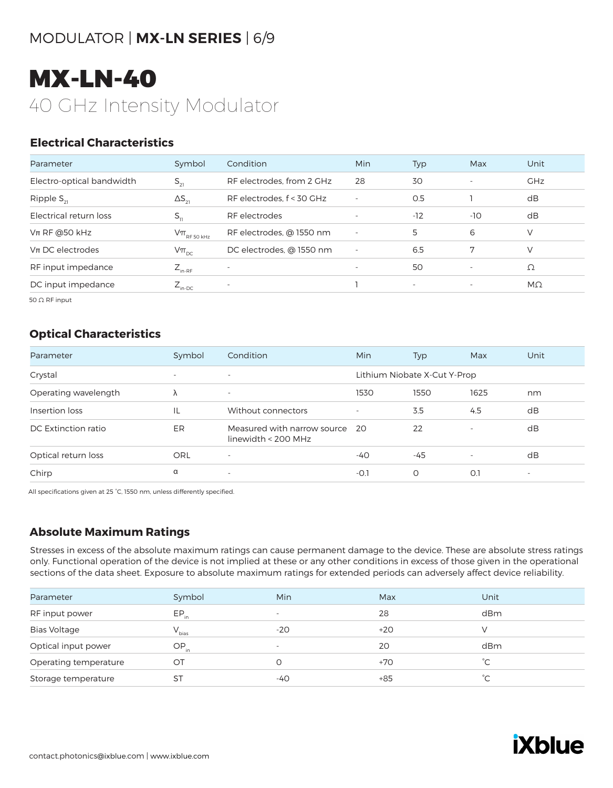### MODULATOR | **MX-LN SERIES** | 6/9

# MX-LN-40 40 GHz Intensity Modulator

### **Electrical Characteristics**

| Parameter                 | Symbol                                                                              | Condition                 | Min                      | Typ    | Max                      | Unit       |
|---------------------------|-------------------------------------------------------------------------------------|---------------------------|--------------------------|--------|--------------------------|------------|
| Electro-optical bandwidth | $S_{21}$                                                                            | RF electrodes, from 2 GHz | 28                       | 30     | $\overline{\phantom{a}}$ | <b>GHz</b> |
| Ripple $S_{21}$           | $\Delta S_{21}$                                                                     | RF electrodes, f < 30 GHz | $\overline{\phantom{a}}$ | 0.5    |                          | dB         |
| Electrical return loss    | $S_{11}$                                                                            | RF electrodes             | $\overline{\phantom{a}}$ | $-12$  | -10                      | dB         |
| $Vπ$ RF @50 kHz           | $\mathsf{V}\pi_{\scriptscriptstyle\mathrm{RF}\,50\,\scriptscriptstyle\mathrm{kHz}}$ | RF electrodes, @ 1550 nm  | $\overline{\phantom{a}}$ | 5      | 6                        | V          |
| $Vπ$ DC electrodes        | $V\pi_{\text{pc}}$                                                                  | DC electrodes, @ 1550 nm  | $\overline{\phantom{a}}$ | 6.5    | 7                        | $\vee$     |
| RF input impedance        | $Z_{_{\text{in-RF}}}$                                                               |                           | $\overline{\phantom{a}}$ | 50     | $\overline{\phantom{a}}$ | Ω          |
| DC input impedance        | $Z_{\text{in-DC}}$                                                                  | $\overline{\phantom{a}}$  |                          | $\sim$ | $\overline{\phantom{a}}$ | $M\Omega$  |

50 Ω RF input

### **Optical Characteristics**

| Parameter            | Symbol                   | Condition                                          | <b>Min</b>               | <b>Typ</b>                   | Max                      | Unit                     |
|----------------------|--------------------------|----------------------------------------------------|--------------------------|------------------------------|--------------------------|--------------------------|
| Crystal              | $\overline{\phantom{a}}$ | $\overline{\phantom{a}}$                           |                          | Lithium Niobate X-Cut Y-Prop |                          |                          |
| Operating wavelength | λ                        | $\overline{\phantom{a}}$                           | 1530                     | 1550                         | 1625                     | nm                       |
| Insertion loss       | IL                       | Without connectors                                 | $\overline{\phantom{a}}$ | 3.5                          | 4.5                      | dB                       |
| DC Extinction ratio  | ER                       | Measured with narrow source<br>linewidth < 200 MHz | - 20                     | 22                           |                          | dB                       |
| Optical return loss  | ORL                      | ٠                                                  | -40                      | $-45$                        | $\overline{\phantom{a}}$ | dB                       |
| Chirp                | α                        | $\overline{\phantom{a}}$                           | $-0.1$                   | O                            | O.1                      | $\overline{\phantom{a}}$ |

All specifications given at 25 °C, 1550 nm, unless differently specified.

### **Absolute Maximum Ratings**

| Parameter             | Symbol     | Min                      | Max   | Unit         |
|-----------------------|------------|--------------------------|-------|--------------|
| RF input power        | $EP_{in}$  | $\overline{\phantom{a}}$ | 28    | dBm          |
| <b>Bias Voltage</b>   | $V_{bias}$ | $-20$                    | $+20$ |              |
| Optical input power   | $OP_{in}$  | $\overline{\phantom{m}}$ | 20    | dBm          |
| Operating temperature | OT         |                          | $+70$ | $^{\circ}C$  |
| Storage temperature   | ST         | -40                      | $+85$ | $^{\circ}$ C |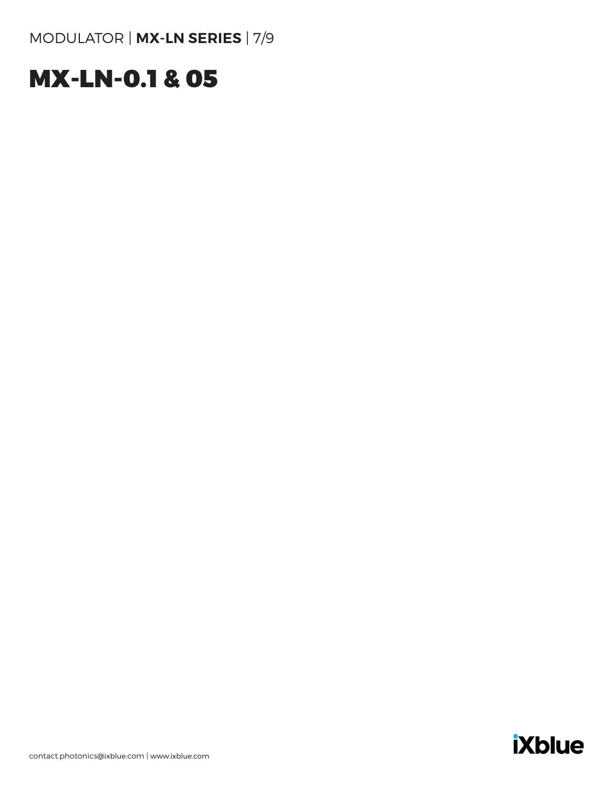# MX-LN-0.1 & 05

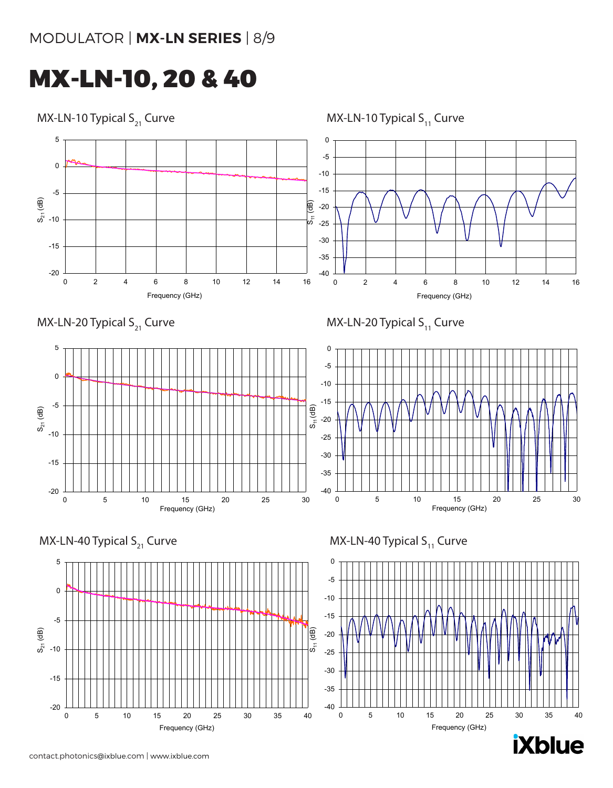## MX-LN-10, 20 & 40